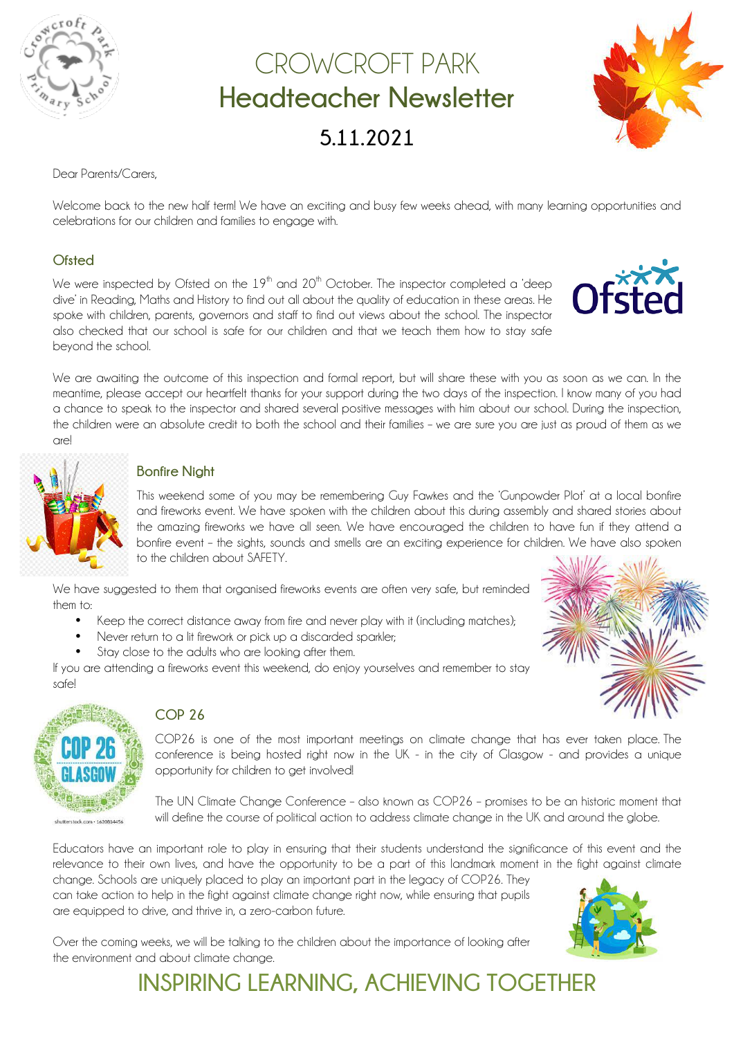

## CROWCROFT PARK **Headteacher Newsletter 5.11.2021**



#### Dear Parents/Carers,

Welcome back to the new half term! We have an exciting and busy few weeks ahead, with many learning opportunities and celebrations for our children and families to engage with.

#### **Ofsted**

We were inspected by Ofsted on the  $19<sup>th</sup>$  and  $20<sup>th</sup>$  October. The inspector completed a 'deep dive' in Reading, Maths and History to find out all about the quality of education in these areas. He spoke with children, parents, governors and staff to find out views about the school. The inspector also checked that our school is safe for our children and that we teach them how to stay safe beyond the school.

We are awaiting the outcome of this inspection and formal report, but will share these with you as soon as we can. In the meantime, please accept our heartfelt thanks for your support during the two days of the inspection. I know many of you had a chance to speak to the inspector and shared several positive messages with him about our school. During the inspection, the children were an absolute credit to both the school and their families – we are sure you are just as proud of them as we are!



#### **Bonfire Night**

This weekend some of you may be remembering Guy Fawkes and the 'Gunpowder Plot' at a local bonfire and fireworks event. We have spoken with the children about this during assembly and shared stories about the amazing fireworks we have all seen. We have encouraged the children to have fun if they attend a bonfire event – the sights, sounds and smells are an exciting experience for children. We have also spoken to the children about SAFETY.

We have suggested to them that organised fireworks events are often very safe, but reminded them to:

- Keep the correct distance away from fire and never play with it (including matches);
- Never return to a lit firework or pick up a discarded sparkler:
- Stay close to the adults who are looking after them.

If you are attending a fireworks event this weekend, do enjoy yourselves and remember to stay safe!



#### **COP 26**

COP26 is one of the most important meetings on climate change that has ever taken place. The conference is being hosted right now in the UK - in the city of Glasgow - and provides a unique opportunity for children to get involved!

The UN Climate Change Conference – also known as COP26 – promises to be an historic moment that will define the course of political action to address climate change in the UK and around the globe.

Educators have an important role to play in ensuring that their students understand the significance of this event and the relevance to their own lives, and have the opportunity to be a part of this landmark moment in the fight against climate

change. Schools are uniquely placed to play an important part in the legacy of COP26. They can take action to help in the fight against climate change right now, while ensuring that pupils are equipped to drive, and thrive in, a zero-carbon future.



Over the coming weeks, we will be talking to the children about the importance of looking after the environment and about climate change.

**INSPIRING LEARNING, ACHIEVING TOGETHER**

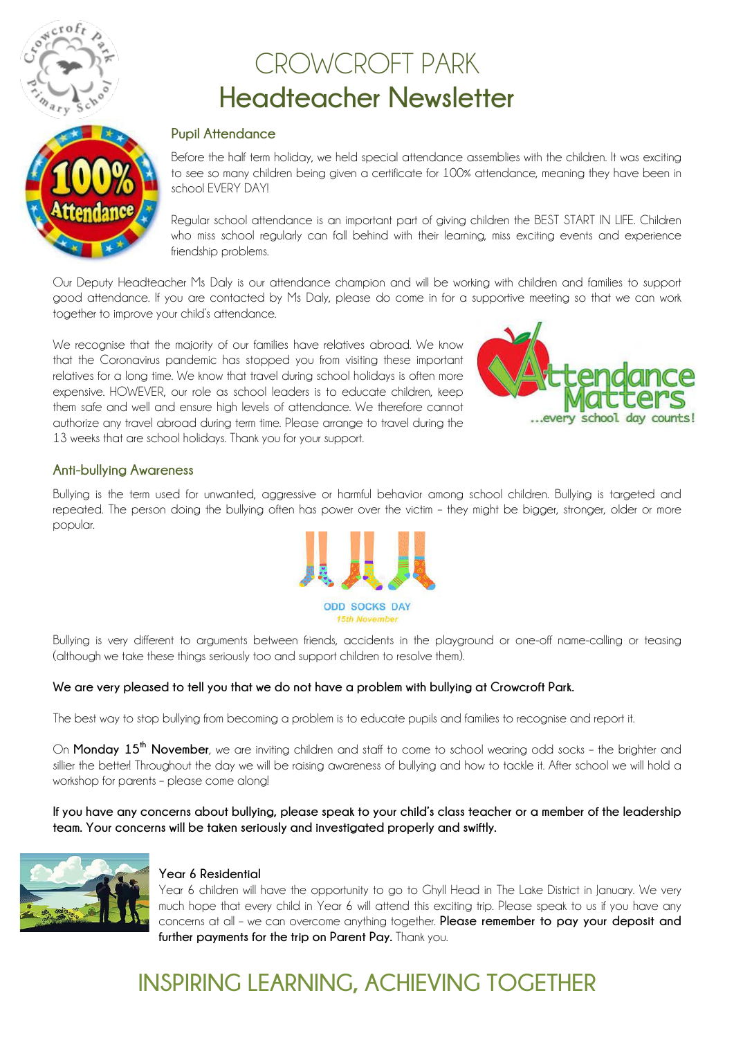

# CROWCROFT PARK **Headteacher Newsletter**



#### **Pupil Attendance**

Before the half term holiday, we held special attendance assemblies with the children. It was exciting to see so many children being given a certificate for 100% attendance, meaning they have been in school EVERY DAY!

Regular school attendance is an important part of giving children the BEST START IN LIFE. Children who miss school regularly can fall behind with their learning, miss exciting events and experience friendship problems.

Our Deputy Headteacher Ms Daly is our attendance champion and will be working with children and families to support good attendance. If you are contacted by Ms Daly, please do come in for a supportive meeting so that we can work together to improve your child's attendance.

We recognise that the majority of our families have relatives abroad. We know that the Coronavirus pandemic has stopped you from visiting these important relatives for a long time. We know that travel during school holidays is often more expensive. HOWEVER, our role as school leaders is to educate children, keep them safe and well and ensure high levels of attendance. We therefore cannot authorize any travel abroad during term time. Please arrange to travel during the 13 weeks that are school holidays. Thank you for your support.



#### **Anti-bullying Awareness**

Bullying is the term used for unwanted, aggressive or harmful behavior among school children. Bullying is targeted and repeated. The person doing the bullying often has power over the victim – they might be bigger, stronger, older or more popular.



Bullying is very different to arguments between friends, accidents in the playground or one-off name-calling or teasing (although we take these things seriously too and support children to resolve them).

#### **We are very pleased to tell you that we do not have a problem with bullying at Crowcroft Park.**

The best way to stop bullying from becoming a problem is to educate pupils and families to recognise and report it.

On **Monday 15th November**, we are inviting children and staff to come to school wearing odd socks – the brighter and sillier the better! Throughout the day we will be raising awareness of bullying and how to tackle it. After school we will hold a workshop for parents – please come along!

**If you have any concerns about bullying, please speak to your child's class teacher or a member of the leadership team. Your concerns will be taken seriously and investigated properly and swiftly.**



#### **Year 6 Residential**

Year 6 children will have the opportunity to go to Ghyll Head in The Lake District in January. We very much hope that every child in Year 6 will attend this exciting trip. Please speak to us if you have any concerns at all – we can overcome anything together. **Please remember to pay your deposit and further payments for the trip on Parent Pay.** Thank you.

### **INSPIRING LEARNING, ACHIEVING TOGETHER**